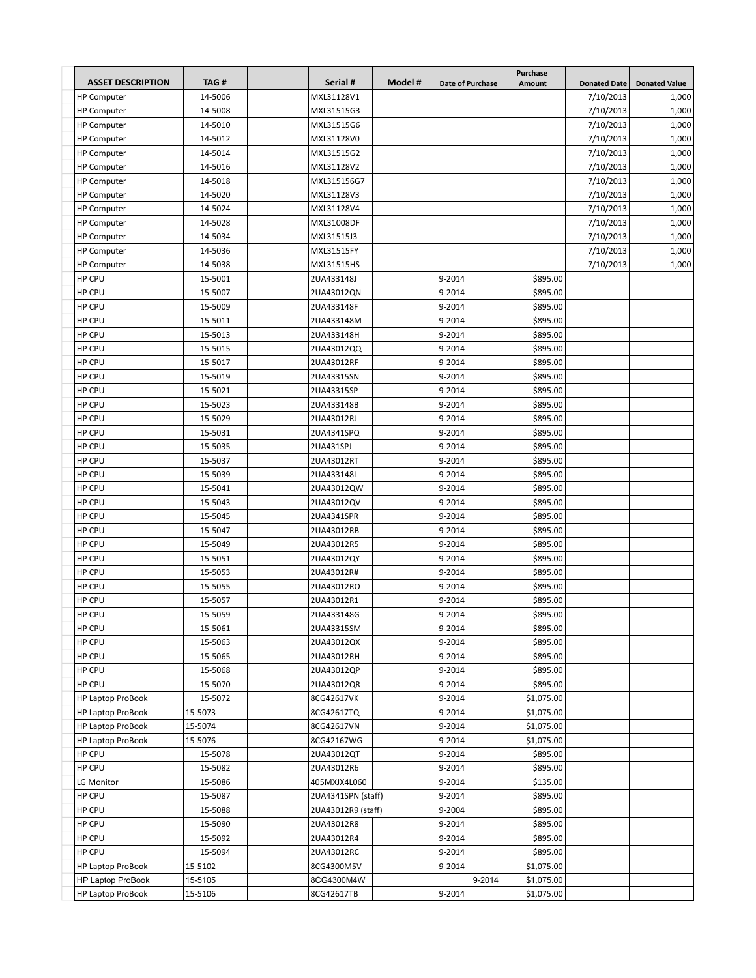| <b>ASSET DESCRIPTION</b> | TAG#    | Serial #           | Model # | <b>Date of Purchase</b> | Purchase<br>Amount | <b>Donated Date</b> | <b>Donated Value</b> |
|--------------------------|---------|--------------------|---------|-------------------------|--------------------|---------------------|----------------------|
| <b>HP Computer</b>       | 14-5006 | MXL31128V1         |         |                         |                    | 7/10/2013           | 1,000                |
| <b>HP Computer</b>       | 14-5008 | MXL31515G3         |         |                         |                    | 7/10/2013           | 1,000                |
| <b>HP Computer</b>       | 14-5010 | MXL31515G6         |         |                         |                    | 7/10/2013           | 1,000                |
| <b>HP Computer</b>       | 14-5012 | MXL31128V0         |         |                         |                    | 7/10/2013           | 1,000                |
| <b>HP Computer</b>       | 14-5014 | MXL31515G2         |         |                         |                    | 7/10/2013           | 1,000                |
| <b>HP Computer</b>       | 14-5016 | MXL31128V2         |         |                         |                    | 7/10/2013           | 1,000                |
| <b>HP Computer</b>       | 14-5018 | MXL315156G7        |         |                         |                    | 7/10/2013           | 1,000                |
| <b>HP Computer</b>       | 14-5020 | MXL31128V3         |         |                         |                    | 7/10/2013           | 1,000                |
| <b>HP Computer</b>       | 14-5024 | MXL31128V4         |         |                         |                    | 7/10/2013           | 1,000                |
| <b>HP Computer</b>       | 14-5028 | MXL31008DF         |         |                         |                    | 7/10/2013           | 1,000                |
| <b>HP Computer</b>       | 14-5034 | MXL31515J3         |         |                         |                    | 7/10/2013           | 1,000                |
| <b>HP Computer</b>       | 14-5036 | MXL31515FY         |         |                         |                    | 7/10/2013           | 1,000                |
| <b>HP Computer</b>       | 14-5038 | MXL31515HS         |         |                         |                    | 7/10/2013           | 1,000                |
| HP CPU                   | 15-5001 | 2UA433148J         |         | 9-2014                  | \$895.00           |                     |                      |
| HP CPU                   | 15-5007 | 2UA43012QN         |         | 9-2014                  | \$895.00           |                     |                      |
| HP CPU                   | 15-5009 | 2UA433148F         |         | 9-2014                  | \$895.00           |                     |                      |
| HP CPU                   | 15-5011 | 2UA433148M         |         | 9-2014                  | \$895.00           |                     |                      |
| HP CPU                   | 15-5013 | 2UA433148H         |         | 9-2014                  | \$895.00           |                     |                      |
| HP CPU                   | 15-5015 | 2UA43012QQ         |         | 9-2014                  | \$895.00           |                     |                      |
| HP CPU                   | 15-5017 | 2UA43012RF         |         | 9-2014                  | \$895.00           |                     |                      |
| <b>HP CPU</b>            | 15-5019 | 2UA43315SN         |         | 9-2014                  | \$895.00           |                     |                      |
| HP CPU                   | 15-5021 | 2UA43315SP         |         | 9-2014                  | \$895.00           |                     |                      |
| HP CPU                   | 15-5023 | 2UA433148B         |         | 9-2014                  | \$895.00           |                     |                      |
| HP CPU                   | 15-5029 | 2UA43012RJ         |         | 9-2014                  | \$895.00           |                     |                      |
| HP CPU                   | 15-5031 | 2UA4341SPQ         |         | 9-2014                  | \$895.00           |                     |                      |
| HP CPU                   | 15-5035 | 2UA431SPJ          |         | 9-2014                  | \$895.00           |                     |                      |
| HP CPU                   | 15-5037 | 2UA43012RT         |         | 9-2014                  | \$895.00           |                     |                      |
| HP CPU                   | 15-5039 | 2UA433148L         |         | 9-2014                  | \$895.00           |                     |                      |
| HP CPU                   | 15-5041 | 2UA43012QW         |         | 9-2014                  | \$895.00           |                     |                      |
| HP CPU                   | 15-5043 | 2UA43012QV         |         | 9-2014                  | \$895.00           |                     |                      |
| HP CPU                   | 15-5045 | 2UA4341SPR         |         | 9-2014                  | \$895.00           |                     |                      |
| HP CPU                   | 15-5047 | 2UA43012RB         |         | 9-2014                  | \$895.00           |                     |                      |
| HP CPU                   | 15-5049 | 2UA43012R5         |         | 9-2014                  | \$895.00           |                     |                      |
| HP CPU                   | 15-5051 | 2UA43012QY         |         | 9-2014                  | \$895.00           |                     |                      |
| HP CPU                   | 15-5053 | 2UA43012R#         |         | 9-2014                  | \$895.00           |                     |                      |
| HP CPU                   | 15-5055 | 2UA43012RO         |         | 9-2014                  | \$895.00           |                     |                      |
| HP CPU                   | 15-5057 | 2UA43012R1         |         | 9-2014                  | \$895.00           |                     |                      |
| HP CPU                   | 15-5059 | 2UA433148G         |         | 9-2014                  | \$895.00           |                     |                      |
| HP CPU                   | 15-5061 | 2UA43315SM         |         | 9-2014                  | \$895.00           |                     |                      |
| HP CPU                   | 15-5063 | 2UA43012QX         |         | 9-2014                  | \$895.00           |                     |                      |
| HP CPU                   | 15-5065 | 2UA43012RH         |         | 9-2014                  | \$895.00           |                     |                      |
| HP CPU                   | 15-5068 | 2UA43012QP         |         | 9-2014                  | \$895.00           |                     |                      |
| HP CPU                   | 15-5070 | 2UA43012QR         |         | 9-2014                  | \$895.00           |                     |                      |
| <b>HP Laptop ProBook</b> | 15-5072 | 8CG42617VK         |         | 9-2014                  | \$1,075.00         |                     |                      |
| HP Laptop ProBook        | 15-5073 | 8CG42617TQ         |         | 9-2014                  | \$1,075.00         |                     |                      |
| HP Laptop ProBook        | 15-5074 | 8CG42617VN         |         | 9-2014                  | \$1,075.00         |                     |                      |
| <b>HP Laptop ProBook</b> | 15-5076 | 8CG42167WG         |         | 9-2014                  | \$1,075.00         |                     |                      |
| HP CPU                   | 15-5078 | 2UA43012QT         |         | 9-2014                  | \$895.00           |                     |                      |
| HP CPU                   | 15-5082 | 2UA43012R6         |         | 9-2014                  | \$895.00           |                     |                      |
| LG Monitor               | 15-5086 | 405MXJX4L060       |         | 9-2014                  | \$135.00           |                     |                      |
| HP CPU                   | 15-5087 | 2UA4341SPN (staff) |         | 9-2014                  | \$895.00           |                     |                      |
| HP CPU                   | 15-5088 | 2UA43012R9 (staff) |         | 9-2004                  | \$895.00           |                     |                      |
| HP CPU                   | 15-5090 | 2UA43012R8         |         | 9-2014                  | \$895.00           |                     |                      |
| HP CPU                   | 15-5092 | 2UA43012R4         |         | 9-2014                  | \$895.00           |                     |                      |
| HP CPU                   | 15-5094 | 2UA43012RC         |         | 9-2014                  | \$895.00           |                     |                      |
| <b>HP Laptop ProBook</b> | 15-5102 | 8CG4300M5V         |         | 9-2014                  | \$1,075.00         |                     |                      |
| <b>HP Laptop ProBook</b> | 15-5105 | 8CG4300M4W         |         | 9-2014                  | \$1,075.00         |                     |                      |
| HP Laptop ProBook        | 15-5106 | 8CG42617TB         |         | 9-2014                  | \$1,075.00         |                     |                      |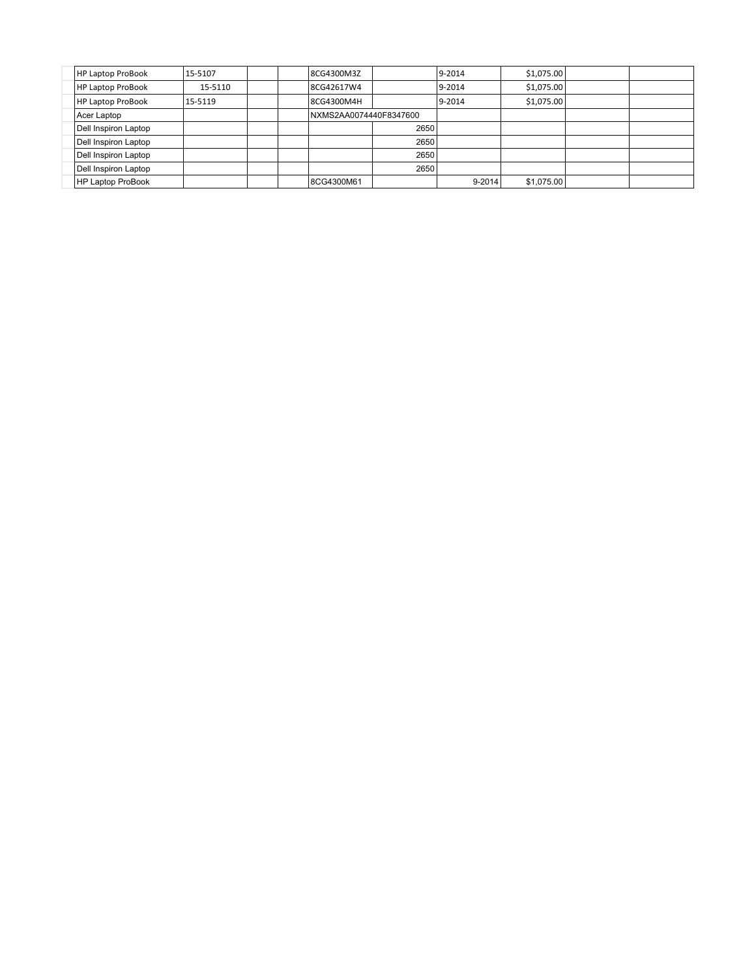| <b>HP Laptop ProBook</b> | 15-5107 | 8CG4300M3Z             |      | $9 - 2014$ | \$1,075.00 |  |
|--------------------------|---------|------------------------|------|------------|------------|--|
| <b>HP Laptop ProBook</b> | 15-5110 | 8CG42617W4             |      | $9 - 2014$ | \$1,075.00 |  |
| <b>HP Laptop ProBook</b> | 15-5119 | 8CG4300M4H             |      | $9 - 2014$ | \$1,075.00 |  |
| Acer Laptop              |         | NXMS2AA0074440F8347600 |      |            |            |  |
| Dell Inspiron Laptop     |         |                        | 2650 |            |            |  |
| Dell Inspiron Laptop     |         |                        | 2650 |            |            |  |
| Dell Inspiron Laptop     |         |                        | 2650 |            |            |  |
| Dell Inspiron Laptop     |         |                        | 2650 |            |            |  |
| HP Laptop ProBook        |         | 8CG4300M61             |      | 9-2014     | \$1,075.00 |  |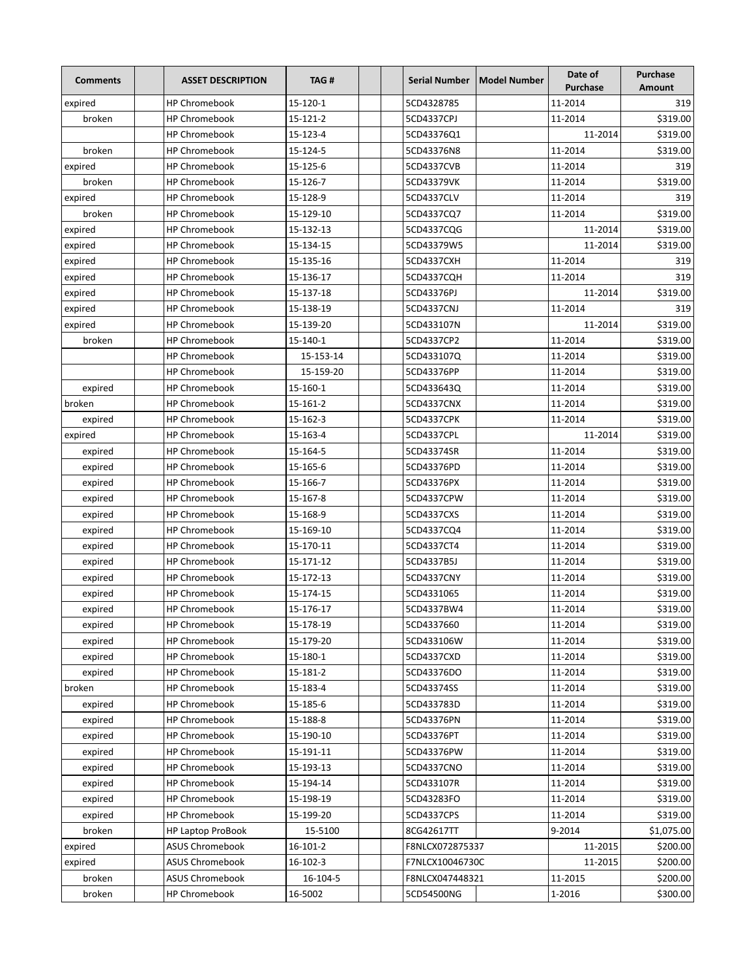| <b>Comments</b> | <b>ASSET DESCRIPTION</b> | TAG#      |                 | Serial Number   Model Number | Date of<br><b>Purchase</b> | Purchase<br><b>Amount</b> |
|-----------------|--------------------------|-----------|-----------------|------------------------------|----------------------------|---------------------------|
| expired         | <b>HP Chromebook</b>     | 15-120-1  | 5CD4328785      |                              | 11-2014                    | 319                       |
| broken          | <b>HP Chromebook</b>     | 15-121-2  | 5CD4337CPJ      |                              | 11-2014                    | \$319.00                  |
|                 | <b>HP Chromebook</b>     | 15-123-4  | 5CD43376Q1      |                              | 11-2014                    | \$319.00                  |
| broken          | <b>HP Chromebook</b>     | 15-124-5  | 5CD43376N8      |                              | 11-2014                    | \$319.00                  |
| expired         | <b>HP Chromebook</b>     | 15-125-6  | 5CD4337CVB      |                              | 11-2014                    | 319                       |
| broken          | <b>HP Chromebook</b>     | 15-126-7  | 5CD43379VK      |                              | 11-2014                    | \$319.00                  |
| expired         | <b>HP Chromebook</b>     | 15-128-9  | 5CD4337CLV      |                              | 11-2014                    | 319                       |
| broken          | <b>HP Chromebook</b>     | 15-129-10 | 5CD4337CQ7      |                              | 11-2014                    | \$319.00                  |
| expired         | <b>HP Chromebook</b>     | 15-132-13 | 5CD4337CQG      |                              | 11-2014                    | \$319.00                  |
| expired         | <b>HP Chromebook</b>     | 15-134-15 | 5CD43379W5      |                              | 11-2014                    | \$319.00                  |
| expired         | <b>HP Chromebook</b>     | 15-135-16 | 5CD4337CXH      |                              | 11-2014                    | 319                       |
| expired         | <b>HP Chromebook</b>     | 15-136-17 | 5CD4337CQH      |                              | 11-2014                    | 319                       |
| expired         | <b>HP Chromebook</b>     | 15-137-18 | 5CD43376PJ      |                              | 11-2014                    | \$319.00                  |
| expired         | <b>HP Chromebook</b>     | 15-138-19 | 5CD4337CNJ      |                              | 11-2014                    | 319                       |
| expired         | <b>HP Chromebook</b>     | 15-139-20 | 5CD433107N      |                              | 11-2014                    | \$319.00                  |
| broken          | <b>HP Chromebook</b>     | 15-140-1  | 5CD4337CP2      |                              | 11-2014                    | \$319.00                  |
|                 | <b>HP Chromebook</b>     | 15-153-14 | 5CD433107Q      |                              | 11-2014                    | \$319.00                  |
|                 | <b>HP Chromebook</b>     | 15-159-20 | 5CD43376PP      |                              | 11-2014                    | \$319.00                  |
| expired         | <b>HP Chromebook</b>     | 15-160-1  | 5CD433643Q      |                              | 11-2014                    | \$319.00                  |
| broken          | <b>HP Chromebook</b>     | 15-161-2  | 5CD4337CNX      |                              | 11-2014                    | \$319.00                  |
| expired         | <b>HP Chromebook</b>     | 15-162-3  | 5CD4337CPK      |                              | 11-2014                    | \$319.00                  |
| expired         | <b>HP Chromebook</b>     | 15-163-4  | 5CD4337CPL      |                              | 11-2014                    | \$319.00                  |
| expired         | <b>HP Chromebook</b>     | 15-164-5  | 5CD43374SR      |                              | 11-2014                    | \$319.00                  |
| expired         | <b>HP Chromebook</b>     | 15-165-6  | 5CD43376PD      |                              | 11-2014                    | \$319.00                  |
| expired         | <b>HP Chromebook</b>     | 15-166-7  | 5CD43376PX      |                              | 11-2014                    | \$319.00                  |
| expired         | <b>HP Chromebook</b>     | 15-167-8  | 5CD4337CPW      |                              | 11-2014                    | \$319.00                  |
| expired         | <b>HP Chromebook</b>     | 15-168-9  | 5CD4337CXS      |                              | 11-2014                    | \$319.00                  |
| expired         | <b>HP Chromebook</b>     | 15-169-10 | 5CD4337CQ4      |                              | 11-2014                    | \$319.00                  |
| expired         | <b>HP Chromebook</b>     | 15-170-11 | 5CD4337CT4      |                              | 11-2014                    | \$319.00                  |
| expired         | <b>HP Chromebook</b>     | 15-171-12 | 5CD4337B5J      |                              | 11-2014                    | \$319.00                  |
| expired         | <b>HP Chromebook</b>     | 15-172-13 | 5CD4337CNY      |                              | 11-2014                    | \$319.00                  |
| expired         | <b>HP Chromebook</b>     | 15-174-15 | 5CD4331065      |                              | 11-2014                    | \$319.00                  |
| expired         | <b>HP Chromebook</b>     | 15-176-17 | 5CD4337BW4      |                              | 11-2014                    | \$319.00                  |
| expired         | HP Chromebook            | 15-178-19 | 5CD4337660      |                              | 11-2014                    | \$319.00                  |
| expired         | <b>HP Chromebook</b>     | 15-179-20 | 5CD433106W      |                              | 11-2014                    | \$319.00                  |
| expired         | <b>HP Chromebook</b>     | 15-180-1  | 5CD4337CXD      |                              | 11-2014                    | \$319.00                  |
| expired         | <b>HP Chromebook</b>     | 15-181-2  | 5CD43376DO      |                              | 11-2014                    | \$319.00                  |
| broken          | <b>HP Chromebook</b>     | 15-183-4  | 5CD43374SS      |                              | 11-2014                    | \$319.00                  |
| expired         | <b>HP Chromebook</b>     | 15-185-6  | 5CD433783D      |                              | 11-2014                    | \$319.00                  |
| expired         | HP Chromebook            | 15-188-8  | 5CD43376PN      |                              | 11-2014                    | \$319.00                  |
| expired         | <b>HP Chromebook</b>     | 15-190-10 | 5CD43376PT      |                              | 11-2014                    | \$319.00                  |
| expired         | <b>HP Chromebook</b>     | 15-191-11 | 5CD43376PW      |                              | 11-2014                    | \$319.00                  |
| expired         | <b>HP Chromebook</b>     | 15-193-13 | 5CD4337CNO      |                              | 11-2014                    | \$319.00                  |
| expired         | <b>HP Chromebook</b>     | 15-194-14 | 5CD433107R      |                              | 11-2014                    | \$319.00                  |
| expired         | HP Chromebook            | 15-198-19 | 5CD43283FO      |                              | 11-2014                    | \$319.00                  |
| expired         | HP Chromebook            | 15-199-20 | 5CD4337CPS      |                              | 11-2014                    | \$319.00                  |
| broken          | <b>HP Laptop ProBook</b> | 15-5100   | 8CG42617TT      |                              | 9-2014                     | \$1,075.00                |
| expired         | ASUS Chromebook          | 16-101-2  | F8NLCX072875337 |                              | 11-2015                    | \$200.00                  |
| expired         | <b>ASUS Chromebook</b>   | 16-102-3  | F7NLCX10046730C |                              | 11-2015                    | \$200.00                  |
| broken          | <b>ASUS Chromebook</b>   | 16-104-5  | F8NLCX047448321 |                              | 11-2015                    | \$200.00                  |
| broken          | <b>HP Chromebook</b>     | 16-5002   | 5CD54500NG      |                              | 1-2016                     | \$300.00                  |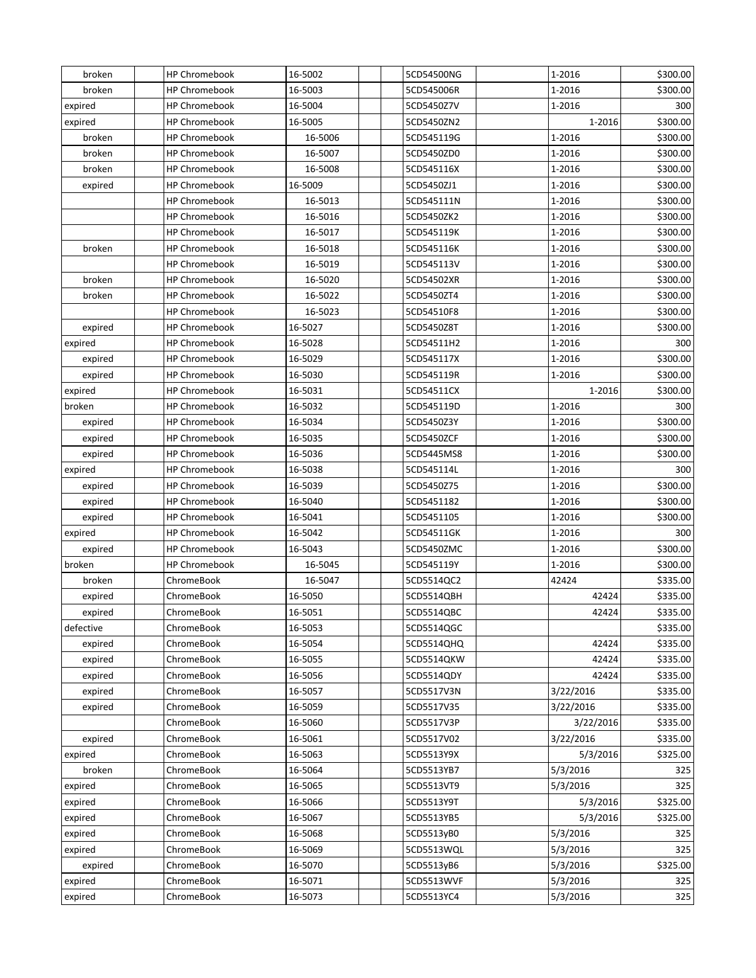| broken    | <b>HP Chromebook</b> | 16-5002 | 5CD54500NG | 1-2016    | \$300.00 |
|-----------|----------------------|---------|------------|-----------|----------|
| broken    | <b>HP Chromebook</b> | 16-5003 | 5CD545006R | 1-2016    | \$300.00 |
| expired   | <b>HP Chromebook</b> | 16-5004 | 5CD5450Z7V | 1-2016    | 300      |
| expired   | <b>HP Chromebook</b> | 16-5005 | 5CD5450ZN2 | 1-2016    | \$300.00 |
| broken    | <b>HP Chromebook</b> | 16-5006 | 5CD545119G | 1-2016    | \$300.00 |
| broken    | <b>HP Chromebook</b> | 16-5007 | 5CD5450ZD0 | 1-2016    | \$300.00 |
| broken    | <b>HP Chromebook</b> | 16-5008 | 5CD545116X | 1-2016    | \$300.00 |
| expired   | <b>HP Chromebook</b> | 16-5009 | 5CD5450ZJ1 | 1-2016    | \$300.00 |
|           | <b>HP Chromebook</b> | 16-5013 | 5CD545111N | 1-2016    | \$300.00 |
|           | <b>HP Chromebook</b> | 16-5016 | 5CD5450ZK2 | 1-2016    | \$300.00 |
|           | <b>HP Chromebook</b> | 16-5017 | 5CD545119K | 1-2016    | \$300.00 |
| broken    | <b>HP Chromebook</b> | 16-5018 | 5CD545116K | 1-2016    | \$300.00 |
|           | <b>HP Chromebook</b> | 16-5019 | 5CD545113V | 1-2016    | \$300.00 |
| broken    | <b>HP Chromebook</b> | 16-5020 | 5CD54502XR | 1-2016    | \$300.00 |
| broken    | <b>HP Chromebook</b> | 16-5022 | 5CD5450ZT4 | 1-2016    | \$300.00 |
|           | <b>HP Chromebook</b> | 16-5023 | 5CD54510F8 | 1-2016    | \$300.00 |
| expired   | <b>HP Chromebook</b> | 16-5027 | 5CD5450Z8T | 1-2016    | \$300.00 |
| expired   | <b>HP Chromebook</b> | 16-5028 | 5CD54511H2 | 1-2016    | 300      |
| expired   | <b>HP Chromebook</b> | 16-5029 | 5CD545117X | 1-2016    | \$300.00 |
| expired   | <b>HP Chromebook</b> | 16-5030 | 5CD545119R | 1-2016    | \$300.00 |
| expired   | <b>HP Chromebook</b> | 16-5031 | 5CD54511CX | 1-2016    | \$300.00 |
| broken    | <b>HP Chromebook</b> | 16-5032 | 5CD545119D | 1-2016    | 300      |
| expired   | <b>HP Chromebook</b> | 16-5034 | 5CD5450Z3Y | 1-2016    | \$300.00 |
| expired   | <b>HP Chromebook</b> | 16-5035 | 5CD5450ZCF | 1-2016    | \$300.00 |
| expired   | <b>HP Chromebook</b> | 16-5036 | 5CD5445MS8 | 1-2016    | \$300.00 |
| expired   | <b>HP Chromebook</b> | 16-5038 | 5CD545114L | 1-2016    | 300      |
| expired   | <b>HP Chromebook</b> | 16-5039 | 5CD5450Z75 | 1-2016    | \$300.00 |
| expired   | <b>HP Chromebook</b> | 16-5040 | 5CD5451182 | 1-2016    | \$300.00 |
| expired   | <b>HP Chromebook</b> | 16-5041 | 5CD5451105 | 1-2016    | \$300.00 |
| expired   | <b>HP Chromebook</b> | 16-5042 | 5CD54511GK | 1-2016    | 300      |
| expired   | <b>HP Chromebook</b> | 16-5043 | 5CD5450ZMC | 1-2016    | \$300.00 |
| broken    | <b>HP Chromebook</b> | 16-5045 | 5CD545119Y | 1-2016    | \$300.00 |
| broken    | ChromeBook           | 16-5047 | 5CD5514QC2 | 42424     | \$335.00 |
| expired   | ChromeBook           | 16-5050 | 5CD5514QBH | 42424     | \$335.00 |
| expired   | ChromeBook           | 16-5051 | 5CD5514QBC | 42424     | \$335.00 |
| defective | ChromeBook           | 16-5053 | 5CD5514QGC |           | \$335.00 |
| expired   | ChromeBook           | 16-5054 | 5CD5514QHQ | 42424     | \$335.00 |
| expired   | ChromeBook           | 16-5055 | 5CD5514QKW | 42424     | \$335.00 |
| expired   | ChromeBook           | 16-5056 | 5CD5514QDY | 42424     | \$335.00 |
| expired   | ChromeBook           | 16-5057 | 5CD5517V3N | 3/22/2016 | \$335.00 |
| expired   | ChromeBook           | 16-5059 | 5CD5517V35 | 3/22/2016 | \$335.00 |
|           | ChromeBook           | 16-5060 | 5CD5517V3P | 3/22/2016 | \$335.00 |
| expired   | ChromeBook           | 16-5061 | 5CD5517V02 | 3/22/2016 | \$335.00 |
| expired   | ChromeBook           | 16-5063 | 5CD5513Y9X | 5/3/2016  | \$325.00 |
| broken    | ChromeBook           | 16-5064 | 5CD5513YB7 | 5/3/2016  | 325      |
| expired   | ChromeBook           | 16-5065 | 5CD5513VT9 | 5/3/2016  | 325      |
| expired   | ChromeBook           | 16-5066 | 5CD5513Y9T | 5/3/2016  | \$325.00 |
| expired   | ChromeBook           | 16-5067 | 5CD5513YB5 | 5/3/2016  | \$325.00 |
| expired   | ChromeBook           | 16-5068 | 5CD5513yB0 | 5/3/2016  | 325      |
| expired   | ChromeBook           | 16-5069 | 5CD5513WQL | 5/3/2016  | 325      |
| expired   | ChromeBook           | 16-5070 | 5CD5513yB6 | 5/3/2016  | \$325.00 |
| expired   | ChromeBook           | 16-5071 | 5CD5513WVF | 5/3/2016  | 325      |
| expired   | ChromeBook           | 16-5073 | 5CD5513YC4 | 5/3/2016  | 325      |
|           |                      |         |            |           |          |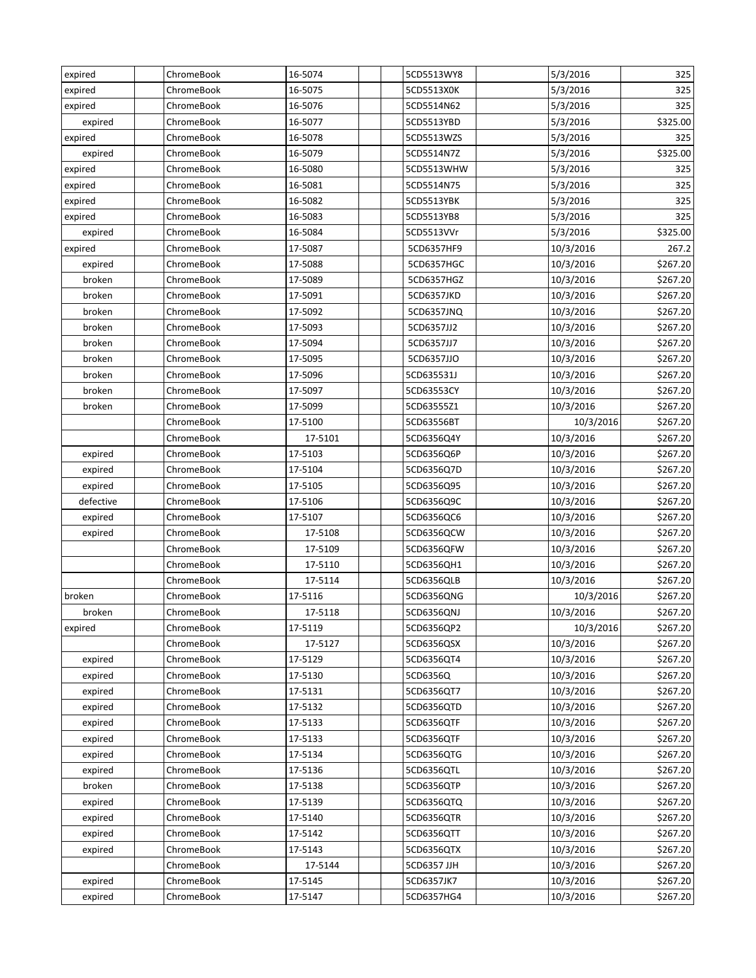| expired   | ChromeBook | 16-5074 | 5CD5513WY8  | 5/3/2016  | 325      |
|-----------|------------|---------|-------------|-----------|----------|
| expired   | ChromeBook | 16-5075 | 5CD5513X0K  | 5/3/2016  | 325      |
| expired   | ChromeBook | 16-5076 | 5CD5514N62  | 5/3/2016  | 325      |
| expired   | ChromeBook | 16-5077 | 5CD5513YBD  | 5/3/2016  | \$325.00 |
| expired   | ChromeBook | 16-5078 | 5CD5513WZS  | 5/3/2016  | 325      |
| expired   | ChromeBook | 16-5079 | 5CD5514N7Z  | 5/3/2016  | \$325.00 |
| expired   | ChromeBook | 16-5080 | 5CD5513WHW  | 5/3/2016  | 325      |
| expired   | ChromeBook | 16-5081 | 5CD5514N75  | 5/3/2016  | 325      |
| expired   | ChromeBook | 16-5082 | 5CD5513YBK  | 5/3/2016  | 325      |
| expired   | ChromeBook | 16-5083 | 5CD5513YB8  | 5/3/2016  | 325      |
| expired   | ChromeBook | 16-5084 | 5CD5513VVr  | 5/3/2016  | \$325.00 |
| expired   | ChromeBook | 17-5087 | 5CD6357HF9  | 10/3/2016 | 267.2    |
| expired   | ChromeBook | 17-5088 | 5CD6357HGC  | 10/3/2016 | \$267.20 |
| broken    | ChromeBook | 17-5089 | 5CD6357HGZ  | 10/3/2016 | \$267.20 |
| broken    | ChromeBook | 17-5091 | 5CD6357JKD  | 10/3/2016 | \$267.20 |
| broken    | ChromeBook | 17-5092 | 5CD6357JNQ  | 10/3/2016 | \$267.20 |
| broken    | ChromeBook | 17-5093 | 5CD6357JJ2  | 10/3/2016 | \$267.20 |
| broken    | ChromeBook | 17-5094 | 5CD6357JJ7  | 10/3/2016 | \$267.20 |
| broken    | ChromeBook | 17-5095 | 5CD6357JJO  | 10/3/2016 | \$267.20 |
| broken    | ChromeBook | 17-5096 | 5CD635531J  | 10/3/2016 | \$267.20 |
| broken    | ChromeBook | 17-5097 | 5CD63553CY  | 10/3/2016 | \$267.20 |
| broken    | ChromeBook | 17-5099 | 5CD63555Z1  | 10/3/2016 | \$267.20 |
|           | ChromeBook | 17-5100 | 5CD63556BT  | 10/3/2016 | \$267.20 |
|           | ChromeBook | 17-5101 | 5CD6356Q4Y  | 10/3/2016 | \$267.20 |
| expired   | ChromeBook | 17-5103 | 5CD6356Q6P  | 10/3/2016 | \$267.20 |
| expired   | ChromeBook | 17-5104 | 5CD6356Q7D  | 10/3/2016 | \$267.20 |
| expired   | ChromeBook | 17-5105 | 5CD6356Q95  | 10/3/2016 | \$267.20 |
| defective | ChromeBook | 17-5106 | 5CD6356Q9C  | 10/3/2016 | \$267.20 |
| expired   | ChromeBook | 17-5107 | 5CD6356QC6  | 10/3/2016 | \$267.20 |
| expired   | ChromeBook | 17-5108 | 5CD6356QCW  | 10/3/2016 | \$267.20 |
|           | ChromeBook | 17-5109 | 5CD6356QFW  | 10/3/2016 | \$267.20 |
|           | ChromeBook | 17-5110 | 5CD6356QH1  | 10/3/2016 | \$267.20 |
|           | ChromeBook | 17-5114 | 5CD6356QLB  | 10/3/2016 | \$267.20 |
| broken    | ChromeBook | 17-5116 | 5CD6356QNG  | 10/3/2016 | \$267.20 |
| broken    | ChromeBook | 17-5118 | 5CD6356QNJ  | 10/3/2016 | \$267.20 |
| expired   | ChromeBook | 17-5119 | 5CD6356QP2  | 10/3/2016 | \$267.20 |
|           | ChromeBook | 17-5127 | 5CD6356QSX  | 10/3/2016 | \$267.20 |
| expired   | ChromeBook | 17-5129 | 5CD6356QT4  | 10/3/2016 | \$267.20 |
| expired   | ChromeBook | 17-5130 | 5CD6356Q    | 10/3/2016 | \$267.20 |
| expired   | ChromeBook | 17-5131 | 5CD6356QT7  | 10/3/2016 | \$267.20 |
| expired   | ChromeBook | 17-5132 | 5CD6356QTD  | 10/3/2016 | \$267.20 |
| expired   | ChromeBook | 17-5133 | 5CD6356QTF  | 10/3/2016 | \$267.20 |
| expired   | ChromeBook | 17-5133 | 5CD6356QTF  | 10/3/2016 | \$267.20 |
| expired   | ChromeBook | 17-5134 | 5CD6356QTG  | 10/3/2016 | \$267.20 |
| expired   | ChromeBook | 17-5136 | 5CD6356QTL  | 10/3/2016 | \$267.20 |
| broken    | ChromeBook | 17-5138 | 5CD6356QTP  | 10/3/2016 | \$267.20 |
| expired   | ChromeBook | 17-5139 | 5CD6356QTQ  | 10/3/2016 | \$267.20 |
| expired   | ChromeBook | 17-5140 | 5CD6356QTR  | 10/3/2016 | \$267.20 |
| expired   | ChromeBook | 17-5142 | 5CD6356QTT  | 10/3/2016 | \$267.20 |
| expired   | ChromeBook | 17-5143 | 5CD6356QTX  | 10/3/2016 | \$267.20 |
|           | ChromeBook | 17-5144 | 5CD6357 JJH | 10/3/2016 | \$267.20 |
| expired   | ChromeBook | 17-5145 | 5CD6357JK7  | 10/3/2016 | \$267.20 |
| expired   | ChromeBook | 17-5147 | 5CD6357HG4  | 10/3/2016 | \$267.20 |
|           |            |         |             |           |          |